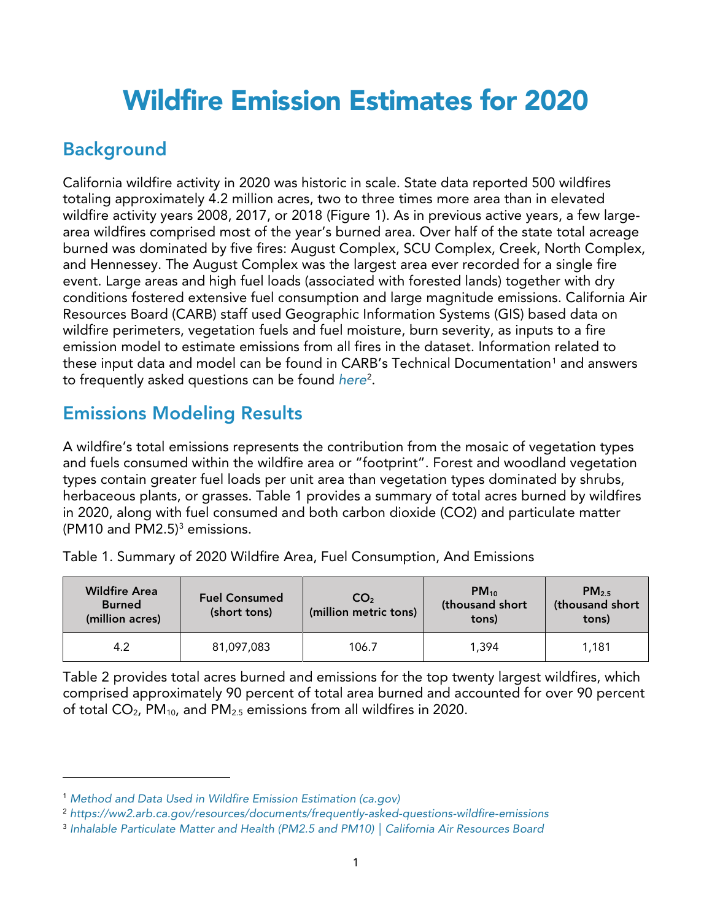## Wildfire Emission Estimates for 2020

## Background

California wildfire activity in 2020 was historic in scale. State data reported 500 wildfires totaling approximately 4.2 million acres, two to three times more area than in elevated wildfire activity years 2008, 2017, or 2018 (Figure 1). As in previous active years, a few largearea wildfires comprised most of the year's burned area. Over half of the state total acreage burned was dominated by five fires: August Complex, SCU Complex, Creek, North Complex, and Hennessey. The August Complex was the largest area ever recorded for a single fire event. Large areas and high fuel loads (associated with forested lands) together with dry conditions fostered extensive fuel consumption and large magnitude emissions. California Air Resources Board (CARB) staff used Geographic Information Systems (GIS) based data on wildfire perimeters, vegetation fuels and fuel moisture, burn severity, as inputs to a fire emission model to estimate emissions from all fires in the dataset. Information related to these input data and model can be found in CARB's Technical Documentation<sup>[1](#page-0-0)</sup> and answers to frequently asked questions can be found *[here](https://ww2.arb.ca.gov/resources/documents/frequently-asked-questions-wildfire-emissions)*[2](#page-0-1) .

## Emissions Modeling Results

A wildfire's total emissions represents the contribution from the mosaic of vegetation types and fuels consumed within the wildfire area or "footprint". Forest and woodland vegetation types contain greater fuel loads per unit area than vegetation types dominated by shrubs, herbaceous plants, or grasses. Table 1 provides a summary of total acres burned by wildfires in 2020, along with fuel consumed and both carbon dioxide (CO2) and particulate matter (PM10 and PM2.5) $3$  emissions.

| <b>Wildfire Area</b><br><b>Burned</b><br>(million acres) | <b>Fuel Consumed</b><br>(short tons) | CO <sub>2</sub><br>(million metric tons) | $PM_{10}$<br>(thousand short<br>tons) | $PM_{2.5}$<br>(thousand short<br>tons) |
|----------------------------------------------------------|--------------------------------------|------------------------------------------|---------------------------------------|----------------------------------------|
| 4.2                                                      | 81,097,083                           | 106.7                                    | 1.394                                 | 1,181                                  |

Table 1. Summary of 2020 Wildfire Area, Fuel Consumption, And Emissions

Table 2 provides total acres burned and emissions for the top twenty largest wildfires, which comprised approximately 90 percent of total area burned and accounted for over 90 percent of total  $CO<sub>2</sub>$ , PM<sub>10</sub>, and PM<sub>2.5</sub> emissions from all wildfires in 2020.

<span id="page-0-0"></span><sup>1</sup> *Method and Data Used in Wildfire Emission [Estimation](https://ww2.arb.ca.gov/sites/default/files/2021-07/EstimationMethods__2020_clean.pdf) (ca.gov)*

<span id="page-0-1"></span><sup>2</sup> *<https://ww2.arb.ca.gov/resources/documents/frequently-asked-questions-wildfire-emissions>*

<span id="page-0-2"></span><sup>3</sup> *Inhalable [Particulate](https://ww2.arb.ca.gov/resources/inhalable-particulate-matter-and-health#:%7E:text=PM2.5%20is%20more%20likely%20to%20travel%20into%20and,surface%20can%20induce%20tissue%20damage%2C%20and%20lung%20inflammation.) Matter and Health (PM2.5 and PM10) | California Air Resources Board*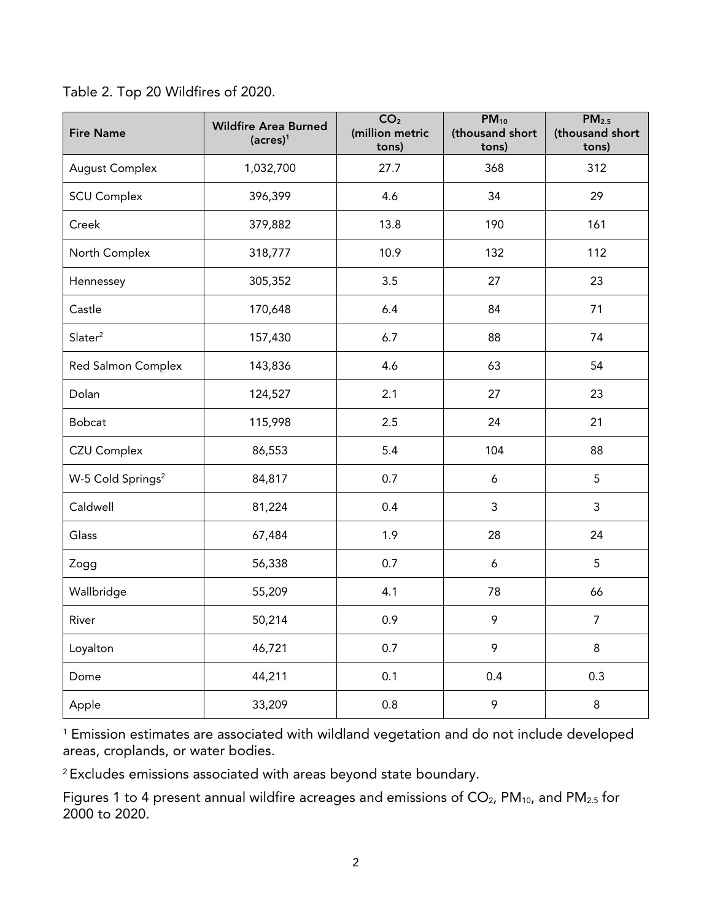| Table 2. Top 20 Wildfires of 2020. |
|------------------------------------|
|------------------------------------|

| <b>Fire Name</b>              | <b>Wildfire Area Burned</b><br>$(acres)^1$ | CO <sub>2</sub><br>(million metric<br>tons) | $PM_{10}$<br>(thousand short<br>tons) | PM <sub>2.5</sub><br>(thousand short<br>tons) |
|-------------------------------|--------------------------------------------|---------------------------------------------|---------------------------------------|-----------------------------------------------|
| <b>August Complex</b>         | 1,032,700                                  | 27.7                                        | 368                                   | 312                                           |
| <b>SCU Complex</b>            | 396,399                                    | 4.6                                         | 34                                    | 29                                            |
| Creek                         | 379,882                                    | 13.8                                        | 190                                   | 161                                           |
| North Complex                 | 318,777                                    | 10.9                                        | 132                                   | 112                                           |
| Hennessey                     | 305,352                                    | 3.5                                         | 27                                    | 23                                            |
| Castle                        | 170,648                                    | 6.4                                         | 84                                    | 71                                            |
| Slater <sup>2</sup>           | 157,430                                    | 6.7                                         | 88                                    | 74                                            |
| Red Salmon Complex            | 143,836                                    | 4.6                                         | 63                                    | 54                                            |
| Dolan                         | 124,527                                    | 2.1                                         | 27                                    | 23                                            |
| Bobcat                        | 115,998                                    | 2.5                                         | 24                                    | 21                                            |
| <b>CZU Complex</b>            | 86,553                                     | 5.4                                         | 104                                   | 88                                            |
| W-5 Cold Springs <sup>2</sup> | 84,817                                     | 0.7                                         | 6                                     | 5                                             |
| Caldwell                      | 81,224                                     | 0.4                                         | $\mathsf{3}$                          | 3                                             |
| Glass                         | 67,484                                     | 1.9                                         | 28                                    | 24                                            |
| Zogg                          | 56,338                                     | 0.7                                         | 6                                     | 5                                             |
| Wallbridge                    | 55,209                                     | 4.1                                         | 78                                    | 66                                            |
| River                         | 50,214                                     | 0.9                                         | 9                                     | $\overline{7}$                                |
| Loyalton                      | 46,721                                     | 0.7                                         | 9                                     | 8                                             |
| Dome                          | 44,211                                     | 0.1                                         | 0.4                                   | 0.3                                           |
| Apple                         | 33,209                                     | 0.8                                         | 9                                     | $\,8\,$                                       |

<sup>1</sup> Emission estimates are associated with wildland vegetation and do not include developed areas, croplands, or water bodies.

<sup>2</sup> Excludes emissions associated with areas beyond state boundary.

Figures 1 to 4 present annual wildfire acreages and emissions of  $CO<sub>2</sub>$ , PM<sub>10</sub>, and PM<sub>2.5</sub> for 2000 to 2020.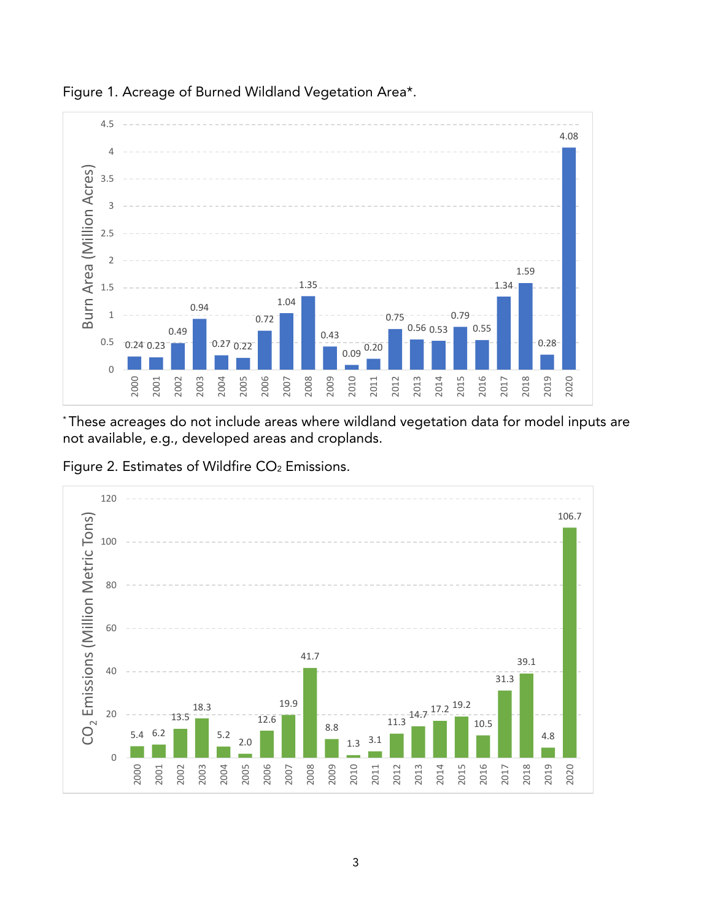

Figure 1. Acreage of Burned Wildland Vegetation Area\*.

\* These acreages do not include areas where wildland vegetation data for model inputs are not available, e.g., developed areas and croplands.